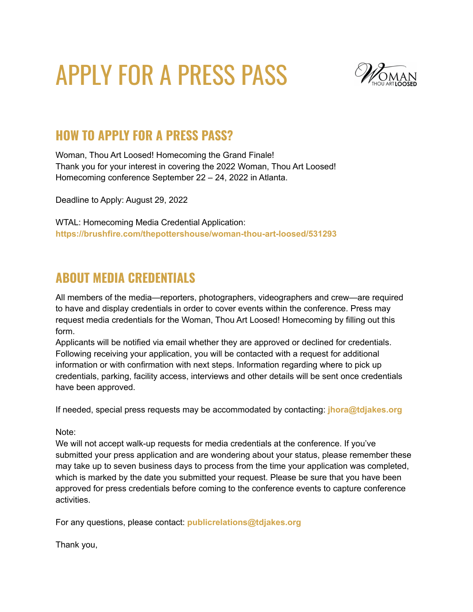## APPLY FOR A PRESS PASS



## **HOW TO APPLY FOR A PRESS PASS?**

Woman, Thou Art Loosed! Homecoming the Grand Finale! Thank you for your interest in covering the 2022 Woman, Thou Art Loosed! Homecoming conference September 22 – 24, 2022 in Atlanta.

Deadline to Apply: August 29, 2022

WTAL: Homecoming Media Credential Application: **<https://brushfire.com/thepottershouse/woman-thou-art-loosed/531293>**

## **ABOUT MEDIA CREDENTIALS**

All members of the media—reporters, photographers, videographers and crew—are required to have and display credentials in order to cover events within the conference. Press may request media credentials for the Woman, Thou Art Loosed! Homecoming by filling out this form.

Applicants will be notified via email whether they are approved or declined for credentials. Following receiving your application, you will be contacted with a request for additional information or with confirmation with next steps. Information regarding where to pick up credentials, parking, facility access, interviews and other details will be sent once credentials have been approved.

If needed, special press requests may be accommodated by contacting: **[jhora@tdjakes.org](mailto:jhora@tdjakes.org)**

Note:

We will not accept walk-up requests for media credentials at the conference. If you've submitted your press application and are wondering about your status, please remember these may take up to seven business days to process from the time your application was completed, which is marked by the date you submitted your request. Please be sure that you have been approved for press credentials before coming to the conference events to capture conference activities.

For any questions, please contact: **[publicrelations@tdjakes.org](mailto:publicrelations@tdjakes.org)**

Thank you,